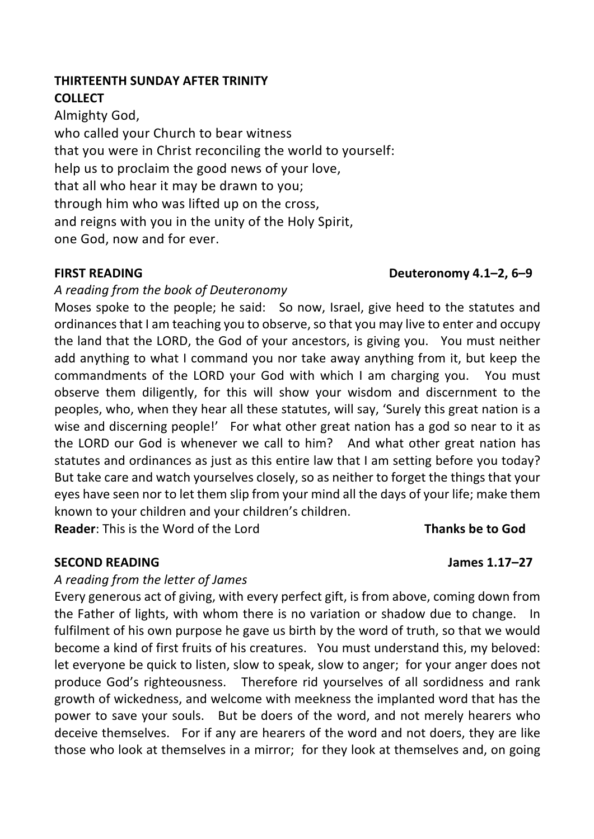## **THIRTEENTH SUNDAY AFTER TRINITY COLLECT**

Almighty God, who called your Church to bear witness that you were in Christ reconciling the world to yourself: help us to proclaim the good news of your love, that all who hear it may be drawn to you; through him who was lifted up on the cross, and reigns with you in the unity of the Holy Spirit, one God, now and for ever.

### *A reading from the book of Deuteronomy*

Moses spoke to the people; he said: So now, Israel, give heed to the statutes and ordinances that I am teaching you to observe, so that you may live to enter and occupy the land that the LORD, the God of your ancestors, is giving you. You must neither add anything to what I command you nor take away anything from it, but keep the commandments of the LORD your God with which I am charging you. You must observe them diligently, for this will show your wisdom and discernment to the peoples, who, when they hear all these statutes, will say, 'Surely this great nation is a wise and discerning people!' For what other great nation has a god so near to it as the LORD our God is whenever we call to him? And what other great nation has statutes and ordinances as just as this entire law that I am setting before you today? But take care and watch yourselves closely, so as neither to forget the things that your eyes have seen nor to let them slip from your mind all the days of your life; make them known to your children and your children's children.

**Reader:** This is the Word of the Lord **Thanks be to God** 

### **SECOND READING James 1.17–27**

### *A reading from the letter of James*

Every generous act of giving, with every perfect gift, is from above, coming down from the Father of lights, with whom there is no variation or shadow due to change. In fulfilment of his own purpose he gave us birth by the word of truth, so that we would become a kind of first fruits of his creatures. You must understand this, my beloved: let everyone be quick to listen, slow to speak, slow to anger; for your anger does not produce God's righteousness. Therefore rid yourselves of all sordidness and rank growth of wickedness, and welcome with meekness the implanted word that has the power to save your souls. But be doers of the word, and not merely hearers who deceive themselves. For if any are hearers of the word and not doers, they are like those who look at themselves in a mirror; for they look at themselves and, on going

## FIRST READING **Deuteronomy 4.1–2, 6–9**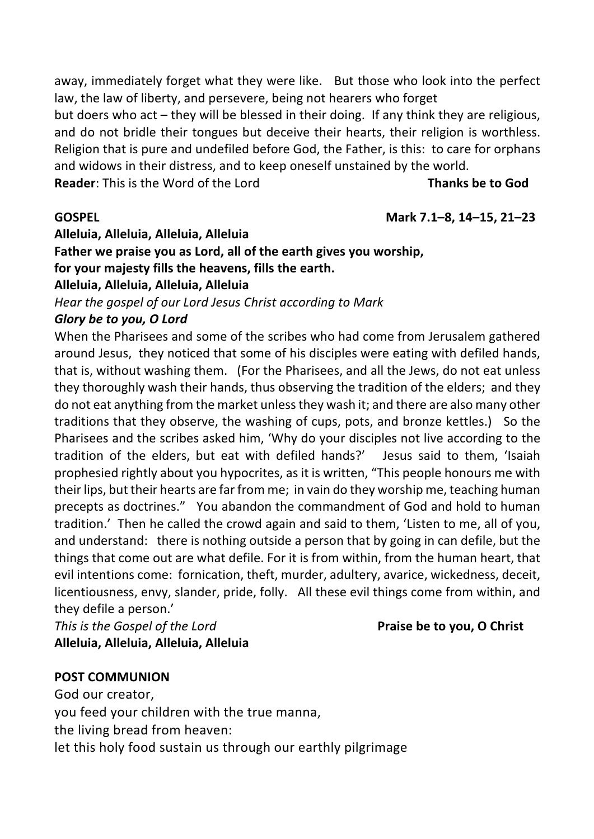away, immediately forget what they were like. But those who look into the perfect law, the law of liberty, and persevere, being not hearers who forget but doers who act – they will be blessed in their doing. If any think they are religious, and do not bridle their tongues but deceive their hearts, their religion is worthless. Religion that is pure and undefiled before God, the Father, is this: to care for orphans and widows in their distress, and to keep oneself unstained by the world. **Reader:** This is the Word of the Lord **Thanks be to God** 

## **GOSPEL Mark 7.1–8, 14–15, 21–23**

**Alleluia, Alleluia, Alleluia, Alleluia** 

# **Father we praise you as Lord, all of the earth gives you worship,**

**for your majesty fills the heavens, fills the earth.**

**Alleluia, Alleluia, Alleluia, Alleluia** 

*Hear the gospel of our Lord Jesus Christ according to Mark*

## *Glory be to you, O Lord*

When the Pharisees and some of the scribes who had come from Jerusalem gathered around Jesus, they noticed that some of his disciples were eating with defiled hands, that is, without washing them. (For the Pharisees, and all the Jews, do not eat unless they thoroughly wash their hands, thus observing the tradition of the elders; and they do not eat anything from the market unless they wash it; and there are also many other traditions that they observe, the washing of cups, pots, and bronze kettles.) So the Pharisees and the scribes asked him, 'Why do your disciples not live according to the tradition of the elders, but eat with defiled hands?' Jesus said to them, 'Isaiah prophesied rightly about you hypocrites, as it is written, "This people honours me with their lips, but their hearts are far from me; in vain do they worship me, teaching human precepts as doctrines." You abandon the commandment of God and hold to human tradition.' Then he called the crowd again and said to them, 'Listen to me, all of you, and understand: there is nothing outside a person that by going in can defile, but the things that come out are what defile. For it is from within, from the human heart, that evil intentions come: fornication, theft, murder, adultery, avarice, wickedness, deceit, licentiousness, envy, slander, pride, folly. All these evil things come from within, and they defile a person.'

*This is the Gospel of the Lord* **Praise be to you, O Christ Alleluia, Alleluia, Alleluia, Alleluia**

## **POST COMMUNION**

God our creator, you feed your children with the true manna, the living bread from heaven: let this holy food sustain us through our earthly pilgrimage